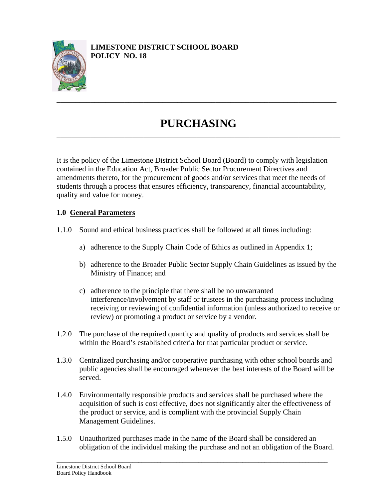

# **PURCHASING** \_\_\_\_\_\_\_\_\_\_\_\_\_\_\_\_\_\_\_\_\_\_\_\_\_\_\_\_\_\_\_\_\_\_\_\_\_\_\_\_\_\_\_\_\_\_\_\_\_\_\_\_\_\_\_\_\_\_\_\_\_\_\_\_\_\_\_\_\_\_\_\_\_\_\_

**\_\_\_\_\_\_\_\_\_\_\_\_\_\_\_\_\_\_\_\_\_\_\_\_\_\_\_\_\_\_\_\_\_\_\_\_\_\_\_\_\_\_\_\_\_\_\_\_\_\_\_\_\_\_\_\_\_\_\_\_\_\_\_\_\_\_\_\_\_\_\_\_\_\_** 

It is the policy of the Limestone District School Board (Board) to comply with legislation contained in the Education Act, Broader Public Sector Procurement Directives and amendments thereto, for the procurement of goods and/or services that meet the needs of students through a process that ensures efficiency, transparency, financial accountability, quality and value for money.

### **1.0 General Parameters**

- 1.1.0 Sound and ethical business practices shall be followed at all times including:
	- a) adherence to the Supply Chain Code of Ethics as outlined in Appendix 1;
	- b) adherence to the Broader Public Sector Supply Chain Guidelines as issued by the Ministry of Finance; and
	- c) adherence to the principle that there shall be no unwarranted interference/involvement by staff or trustees in the purchasing process including receiving or reviewing of confidential information (unless authorized to receive or review) or promoting a product or service by a vendor.
- 1.2.0 The purchase of the required quantity and quality of products and services shall be within the Board's established criteria for that particular product or service.
- 1.3.0 Centralized purchasing and/or cooperative purchasing with other school boards and public agencies shall be encouraged whenever the best interests of the Board will be served.
- 1.4.0 Environmentally responsible products and services shall be purchased where the acquisition of such is cost effective, does not significantly alter the effectiveness of the product or service, and is compliant with the provincial Supply Chain Management Guidelines.
- 1.5.0 Unauthorized purchases made in the name of the Board shall be considered an obligation of the individual making the purchase and not an obligation of the Board.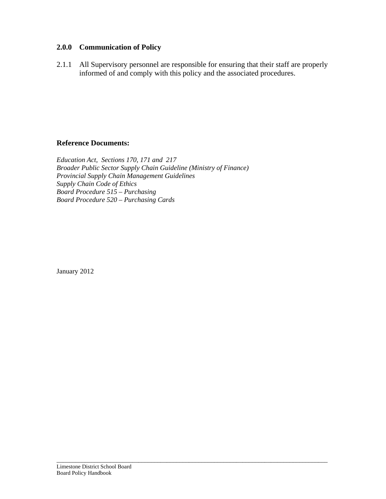### **2.0.0 Communication of Policy**

2.1.1 All Supervisory personnel are responsible for ensuring that their staff are properly informed of and comply with this policy and the associated procedures.

\_\_\_\_\_\_\_\_\_\_\_\_\_\_\_\_\_\_\_\_\_\_\_\_\_\_\_\_\_\_\_\_\_\_\_\_\_\_\_\_\_\_\_\_\_\_\_\_\_\_\_\_\_\_\_\_\_\_\_\_\_\_\_\_\_\_\_\_\_\_\_\_\_\_\_\_\_\_\_\_\_\_\_\_\_\_

### **Reference Documents:**

*Education Act, Sections 170, 171 and 217 Broader Public Sector Supply Chain Guideline (Ministry of Finance) Provincial Supply Chain Management Guidelines Supply Chain Code of Ethics Board Procedure 515 – Purchasing Board Procedure 520 – Purchasing Cards* 

January 2012